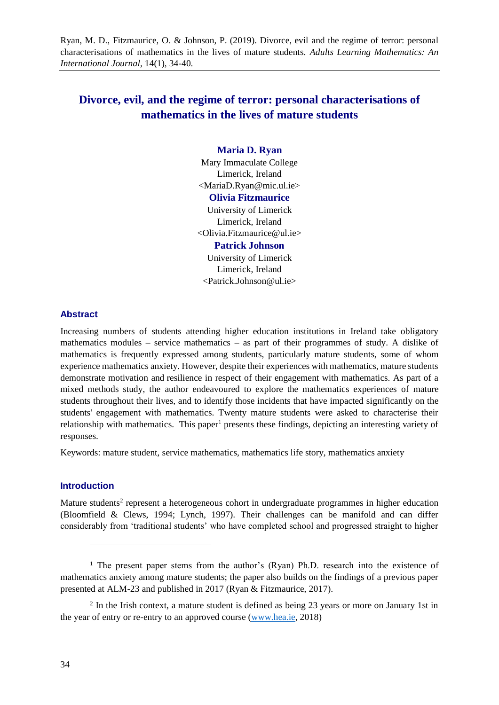Ryan, M. D., Fitzmaurice, O. & Johnson, P. (2019). Divorce, evil and the regime of terror: personal characterisations of mathematics in the lives of mature students. *Adults Learning Mathematics: An International Journal*, 14(1), 34-40.

# **Divorce, evil, and the regime of terror: personal characterisations of mathematics in the lives of mature students**

### **Maria D. Ryan**

Mary Immaculate College Limerick, Ireland <MariaD.Ryan@mic.ul.ie>

## **Olivia Fitzmaurice**

University of Limerick Limerick, Ireland <Olivia.Fitzmaurice@ul.ie> **Patrick Johnson**

## University of Limerick Limerick, Ireland <Patrick.Johnson@ul.ie>

#### **Abstract**

Increasing numbers of students attending higher education institutions in Ireland take obligatory mathematics modules – service mathematics – as part of their programmes of study. A dislike of mathematics is frequently expressed among students, particularly mature students, some of whom experience mathematics anxiety. However, despite their experiences with mathematics, mature students demonstrate motivation and resilience in respect of their engagement with mathematics. As part of a mixed methods study, the author endeavoured to explore the mathematics experiences of mature students throughout their lives, and to identify those incidents that have impacted significantly on the students' engagement with mathematics. Twenty mature students were asked to characterise their relationship with mathematics. This paper<sup>1</sup> presents these findings, depicting an interesting variety of responses.

Keywords: mature student, service mathematics, mathematics life story, mathematics anxiety

### **Introduction**

l

Mature students<sup>2</sup> represent a heterogeneous cohort in undergraduate programmes in higher education (Bloomfield & Clews, 1994; Lynch, 1997). Their challenges can be manifold and can differ considerably from 'traditional students' who have completed school and progressed straight to higher

<sup>&</sup>lt;sup>1</sup> The present paper stems from the author's (Ryan) Ph.D. research into the existence of mathematics anxiety among mature students; the paper also builds on the findings of a previous paper presented at ALM-23 and published in 2017 (Ryan & Fitzmaurice, 2017).

<sup>&</sup>lt;sup>2</sup> In the Irish context, a mature student is defined as being 23 years or more on January 1st in the year of entry or re-entry to an approved course (www.hea.ie, 2018)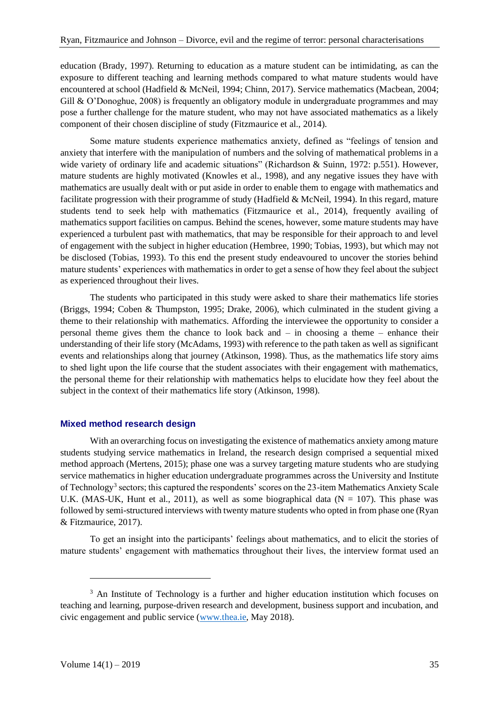education (Brady, 1997). Returning to education as a mature student can be intimidating, as can the exposure to different teaching and learning methods compared to what mature students would have encountered at school (Hadfield & McNeil, 1994; Chinn, 2017). Service mathematics (Macbean, 2004; Gill & O'Donoghue, 2008) is frequently an obligatory module in undergraduate programmes and may pose a further challenge for the mature student, who may not have associated mathematics as a likely component of their chosen discipline of study (Fitzmaurice et al., 2014).

Some mature students experience mathematics anxiety, defined as "feelings of tension and anxiety that interfere with the manipulation of numbers and the solving of mathematical problems in a wide variety of ordinary life and academic situations" (Richardson & Suinn, 1972: p.551). However, mature students are highly motivated (Knowles et al., 1998), and any negative issues they have with mathematics are usually dealt with or put aside in order to enable them to engage with mathematics and facilitate progression with their programme of study (Hadfield & McNeil, 1994). In this regard, mature students tend to seek help with mathematics (Fitzmaurice et al., 2014), frequently availing of mathematics support facilities on campus. Behind the scenes, however, some mature students may have experienced a turbulent past with mathematics, that may be responsible for their approach to and level of engagement with the subject in higher education (Hembree, 1990; Tobias, 1993), but which may not be disclosed (Tobias, 1993). To this end the present study endeavoured to uncover the stories behind mature students' experiences with mathematics in order to get a sense of how they feel about the subject as experienced throughout their lives.

The students who participated in this study were asked to share their mathematics life stories (Briggs, 1994; Coben & Thumpston, 1995; Drake, 2006), which culminated in the student giving a theme to their relationship with mathematics. Affording the interviewee the opportunity to consider a personal theme gives them the chance to look back and – in choosing a theme – enhance their understanding of their life story (McAdams, 1993) with reference to the path taken as well as significant events and relationships along that journey (Atkinson, 1998). Thus, as the mathematics life story aims to shed light upon the life course that the student associates with their engagement with mathematics, the personal theme for their relationship with mathematics helps to elucidate how they feel about the subject in the context of their mathematics life story (Atkinson, 1998).

## **Mixed method research design**

With an overarching focus on investigating the existence of mathematics anxiety among mature students studying service mathematics in Ireland, the research design comprised a sequential mixed method approach (Mertens, 2015); phase one was a survey targeting mature students who are studying service mathematics in higher education undergraduate programmes across the University and Institute of Technology<sup>3</sup> sectors; this captured the respondents' scores on the 23-item Mathematics Anxiety Scale U.K. (MAS-UK, Hunt et al., 2011), as well as some biographical data ( $N = 107$ ). This phase was followed by semi-structured interviews with twenty mature students who opted in from phase one (Ryan & Fitzmaurice, 2017).

To get an insight into the participants' feelings about mathematics, and to elicit the stories of mature students' engagement with mathematics throughout their lives, the interview format used an

l

<sup>&</sup>lt;sup>3</sup> An Institute of Technology is a further and higher education institution which focuses on teaching and learning, purpose-driven research and development, business support and incubation, and civic engagement and public service (www.thea.ie, May 2018).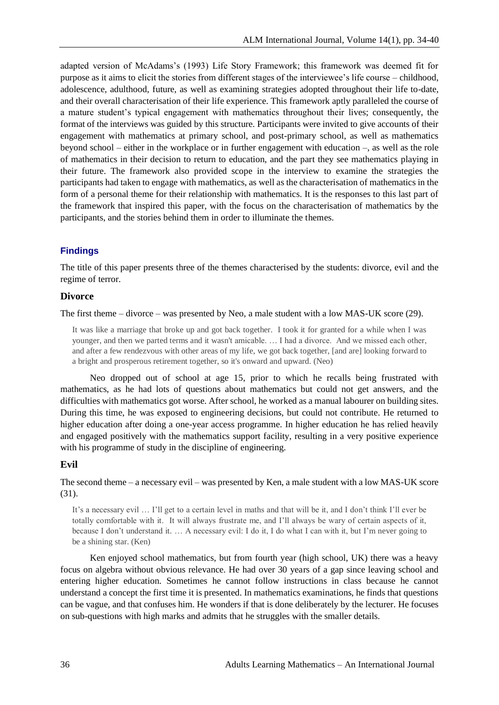adapted version of McAdams's (1993) Life Story Framework; this framework was deemed fit for purpose as it aims to elicit the stories from different stages of the interviewee's life course – childhood, adolescence, adulthood, future, as well as examining strategies adopted throughout their life to-date, and their overall characterisation of their life experience. This framework aptly paralleled the course of a mature student's typical engagement with mathematics throughout their lives; consequently, the format of the interviews was guided by this structure. Participants were invited to give accounts of their engagement with mathematics at primary school, and post-primary school, as well as mathematics beyond school – either in the workplace or in further engagement with education –, as well as the role of mathematics in their decision to return to education, and the part they see mathematics playing in their future. The framework also provided scope in the interview to examine the strategies the participants had taken to engage with mathematics, as well as the characterisation of mathematics in the form of a personal theme for their relationship with mathematics. It is the responses to this last part of the framework that inspired this paper, with the focus on the characterisation of mathematics by the participants, and the stories behind them in order to illuminate the themes.

## **Findings**

The title of this paper presents three of the themes characterised by the students: divorce, evil and the regime of terror.

#### **Divorce**

The first theme – divorce – was presented by Neo, a male student with a low MAS-UK score (29).

It was like a marriage that broke up and got back together. I took it for granted for a while when I was younger, and then we parted terms and it wasn't amicable. … I had a divorce. And we missed each other, and after a few rendezvous with other areas of my life, we got back together, [and are] looking forward to a bright and prosperous retirement together, so it's onward and upward. (Neo)

Neo dropped out of school at age 15, prior to which he recalls being frustrated with mathematics, as he had lots of questions about mathematics but could not get answers, and the difficulties with mathematics got worse. After school, he worked as a manual labourer on building sites. During this time, he was exposed to engineering decisions, but could not contribute. He returned to higher education after doing a one-year access programme. In higher education he has relied heavily and engaged positively with the mathematics support facility, resulting in a very positive experience with his programme of study in the discipline of engineering.

#### **Evil**

The second theme – a necessary evil – was presented by Ken, a male student with a low MAS-UK score (31).

It's a necessary evil … I'll get to a certain level in maths and that will be it, and I don't think I'll ever be totally comfortable with it. It will always frustrate me, and I'll always be wary of certain aspects of it, because I don't understand it. … A necessary evil: I do it, I do what I can with it, but I'm never going to be a shining star. (Ken)

Ken enjoyed school mathematics, but from fourth year (high school, UK) there was a heavy focus on algebra without obvious relevance. He had over 30 years of a gap since leaving school and entering higher education. Sometimes he cannot follow instructions in class because he cannot understand a concept the first time it is presented. In mathematics examinations, he finds that questions can be vague, and that confuses him. He wonders if that is done deliberately by the lecturer. He focuses on sub-questions with high marks and admits that he struggles with the smaller details.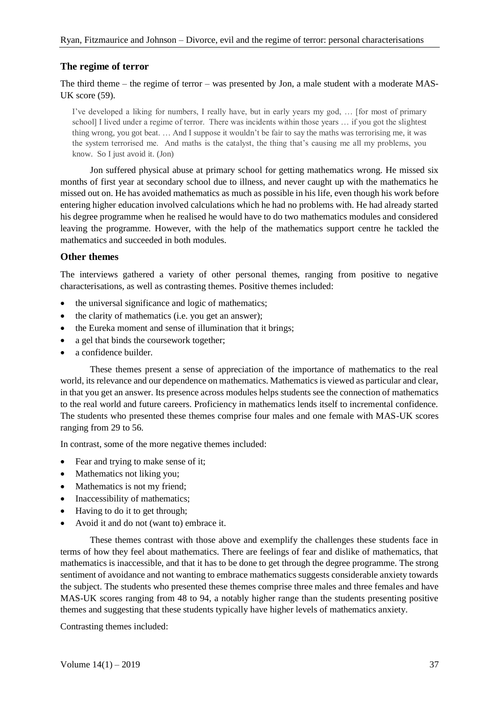## **The regime of terror**

The third theme – the regime of terror – was presented by Jon, a male student with a moderate MAS-UK score (59).

I've developed a liking for numbers, I really have, but in early years my god, … [for most of primary school] I lived under a regime of terror. There was incidents within those years … if you got the slightest thing wrong, you got beat. … And I suppose it wouldn't be fair to say the maths was terrorising me, it was the system terrorised me. And maths is the catalyst, the thing that's causing me all my problems, you know. So I just avoid it. (Jon)

Jon suffered physical abuse at primary school for getting mathematics wrong. He missed six months of first year at secondary school due to illness, and never caught up with the mathematics he missed out on. He has avoided mathematics as much as possible in his life, even though his work before entering higher education involved calculations which he had no problems with. He had already started his degree programme when he realised he would have to do two mathematics modules and considered leaving the programme. However, with the help of the mathematics support centre he tackled the mathematics and succeeded in both modules.

## **Other themes**

The interviews gathered a variety of other personal themes, ranging from positive to negative characterisations, as well as contrasting themes. Positive themes included:

- the universal significance and logic of mathematics;
- the clarity of mathematics (i.e. you get an answer);
- the Eureka moment and sense of illumination that it brings;
- a gel that binds the coursework together;
- a confidence builder.

These themes present a sense of appreciation of the importance of mathematics to the real world, its relevance and our dependence on mathematics. Mathematics is viewed as particular and clear, in that you get an answer. Its presence across modules helps students see the connection of mathematics to the real world and future careers. Proficiency in mathematics lends itself to incremental confidence. The students who presented these themes comprise four males and one female with MAS-UK scores ranging from 29 to 56.

In contrast, some of the more negative themes included:

- Fear and trying to make sense of it;
- Mathematics not liking you;
- Mathematics is not my friend;
- Inaccessibility of mathematics;
- Having to do it to get through;
- Avoid it and do not (want to) embrace it.

These themes contrast with those above and exemplify the challenges these students face in terms of how they feel about mathematics. There are feelings of fear and dislike of mathematics, that mathematics is inaccessible, and that it has to be done to get through the degree programme. The strong sentiment of avoidance and not wanting to embrace mathematics suggests considerable anxiety towards the subject. The students who presented these themes comprise three males and three females and have MAS-UK scores ranging from 48 to 94, a notably higher range than the students presenting positive themes and suggesting that these students typically have higher levels of mathematics anxiety.

Contrasting themes included: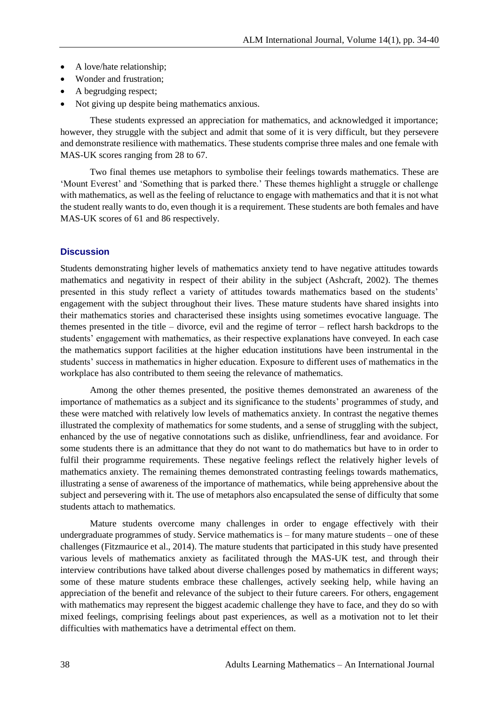- A love/hate relationship;
- Wonder and frustration;
- A begrudging respect;
- Not giving up despite being mathematics anxious.

These students expressed an appreciation for mathematics, and acknowledged it importance; however, they struggle with the subject and admit that some of it is very difficult, but they persevere and demonstrate resilience with mathematics. These students comprise three males and one female with MAS-UK scores ranging from 28 to 67.

Two final themes use metaphors to symbolise their feelings towards mathematics. These are 'Mount Everest' and 'Something that is parked there.' These themes highlight a struggle or challenge with mathematics, as well as the feeling of reluctance to engage with mathematics and that it is not what the student really wants to do, even though it is a requirement. These students are both females and have MAS-UK scores of 61 and 86 respectively.

## **Discussion**

Students demonstrating higher levels of mathematics anxiety tend to have negative attitudes towards mathematics and negativity in respect of their ability in the subject (Ashcraft, 2002). The themes presented in this study reflect a variety of attitudes towards mathematics based on the students' engagement with the subject throughout their lives. These mature students have shared insights into their mathematics stories and characterised these insights using sometimes evocative language. The themes presented in the title – divorce, evil and the regime of terror – reflect harsh backdrops to the students' engagement with mathematics, as their respective explanations have conveyed. In each case the mathematics support facilities at the higher education institutions have been instrumental in the students' success in mathematics in higher education. Exposure to different uses of mathematics in the workplace has also contributed to them seeing the relevance of mathematics.

Among the other themes presented, the positive themes demonstrated an awareness of the importance of mathematics as a subject and its significance to the students' programmes of study, and these were matched with relatively low levels of mathematics anxiety. In contrast the negative themes illustrated the complexity of mathematics for some students, and a sense of struggling with the subject, enhanced by the use of negative connotations such as dislike, unfriendliness, fear and avoidance. For some students there is an admittance that they do not want to do mathematics but have to in order to fulfil their programme requirements. These negative feelings reflect the relatively higher levels of mathematics anxiety. The remaining themes demonstrated contrasting feelings towards mathematics, illustrating a sense of awareness of the importance of mathematics, while being apprehensive about the subject and persevering with it. The use of metaphors also encapsulated the sense of difficulty that some students attach to mathematics.

Mature students overcome many challenges in order to engage effectively with their undergraduate programmes of study. Service mathematics is – for many mature students – one of these challenges (Fitzmaurice et al., 2014). The mature students that participated in this study have presented various levels of mathematics anxiety as facilitated through the MAS-UK test, and through their interview contributions have talked about diverse challenges posed by mathematics in different ways; some of these mature students embrace these challenges, actively seeking help, while having an appreciation of the benefit and relevance of the subject to their future careers. For others, engagement with mathematics may represent the biggest academic challenge they have to face, and they do so with mixed feelings, comprising feelings about past experiences, as well as a motivation not to let their difficulties with mathematics have a detrimental effect on them.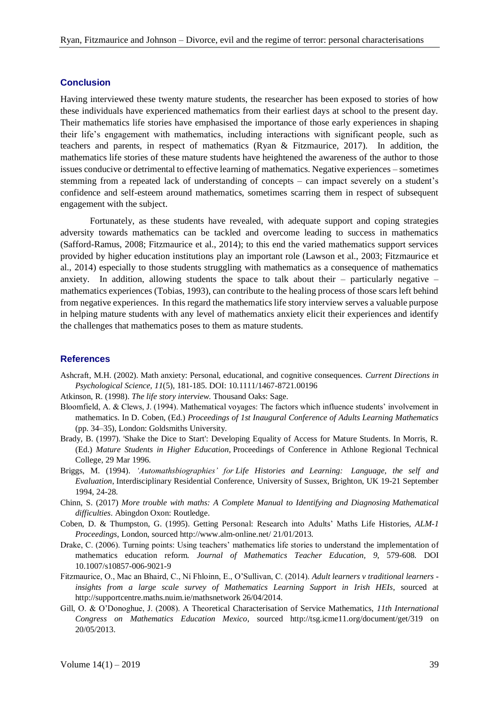## **Conclusion**

Having interviewed these twenty mature students, the researcher has been exposed to stories of how these individuals have experienced mathematics from their earliest days at school to the present day. Their mathematics life stories have emphasised the importance of those early experiences in shaping their life's engagement with mathematics, including interactions with significant people, such as teachers and parents, in respect of mathematics (Ryan & Fitzmaurice, 2017). In addition, the mathematics life stories of these mature students have heightened the awareness of the author to those issues conducive or detrimental to effective learning of mathematics. Negative experiences – sometimes stemming from a repeated lack of understanding of concepts – can impact severely on a student's confidence and self-esteem around mathematics, sometimes scarring them in respect of subsequent engagement with the subject.

Fortunately, as these students have revealed, with adequate support and coping strategies adversity towards mathematics can be tackled and overcome leading to success in mathematics (Safford-Ramus, 2008; Fitzmaurice et al., 2014); to this end the varied mathematics support services provided by higher education institutions play an important role (Lawson et al., 2003; Fitzmaurice et al., 2014) especially to those students struggling with mathematics as a consequence of mathematics anxiety. In addition, allowing students the space to talk about their – particularly negative – mathematics experiences (Tobias, 1993), can contribute to the healing process of those scars left behind from negative experiences. In this regard the mathematics life story interview serves a valuable purpose in helping mature students with any level of mathematics anxiety elicit their experiences and identify the challenges that mathematics poses to them as mature students.

#### **References**

Ashcraft, M.H. (2002). Math anxiety: Personal, educational, and cognitive consequences. *Current Directions in Psychological Science, 11*(5), 181-185. DOI: 10.1111/1467-8721.00196

Atkinson, R. (1998). *The life story interview*. Thousand Oaks: Sage.

- Bloomfield, A. & Clews, J. (1994). Mathematical voyages: The factors which influence students' involvement in mathematics. In D. Coben, (Ed.) *Proceedings of 1st Inaugural Conference of Adults Learning Mathematics* (pp. 34–35), London: Goldsmiths University.
- Brady, B. (1997). 'Shake the Dice to Start': Developing Equality of Access for Mature Students. In Morris, R. (Ed.) *Mature Students in Higher Education*, Proceedings of Conference in Athlone Regional Technical College, 29 Mar 1996.
- Briggs, M. (1994). *'Automathsbiographies' for Life Histories and Learning: Language, the self and Evaluation*, Interdisciplinary Residential Conference, University of Sussex, Brighton, UK 19-21 September 1994, 24-28.
- Chinn, S. (2017) *More trouble with maths: A Complete Manual to Identifying and Diagnosing Mathematical difficulties*. Abingdon Oxon: Routledge.
- Coben, D. & Thumpston, G. (1995). Getting Personal: Research into Adults' Maths Life Histories, *ALM-1 Proceedings*, London, sourced http://www.alm-online.net/ 21/01/2013.
- Drake, C. (2006). Turning points: Using teachers' mathematics life stories to understand the implementation of mathematics education reform. *Journal of Mathematics Teacher Education, 9*, 579-608. DOI 10.1007/s10857-006-9021-9
- Fitzmaurice, O., Mac an Bhaird, C., Ní Fhloinn, E., O'Sullivan, C. (2014). *Adult learners v traditional learners insights from a large scale survey of Mathematics Learning Support in Irish HEIs*, sourced at http://supportcentre.maths.nuim.ie/mathsnetwork 26/04/2014.
- Gill, O. & O'Donoghue, J. (2008). A Theoretical Characterisation of Service Mathematics, *11th International Congress on Mathematics Education Mexico*, sourced http://tsg.icme11.org/document/get/319 on 20/05/2013.